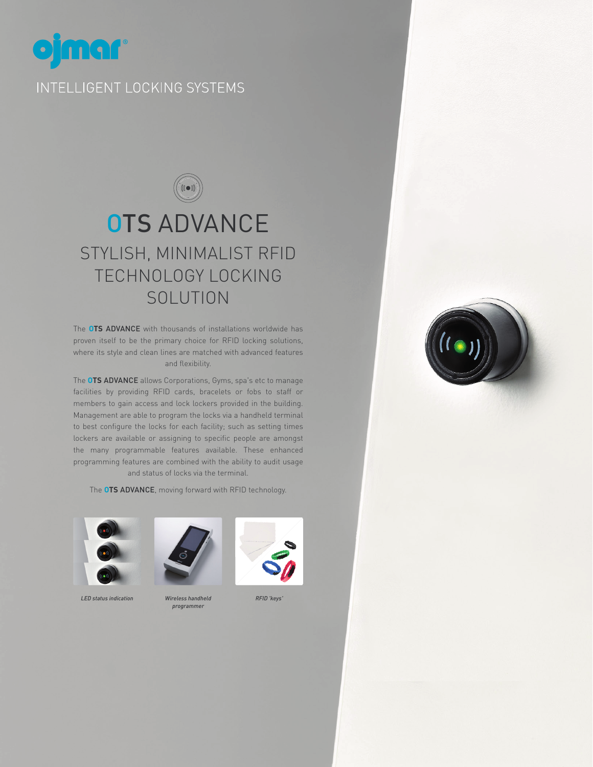

# **OTS ADVANCE** STYLISH, MINIMALIST RFID TECHNOLOGY LOCKING **SOLUTION**

The **OTS** ADVANCE with thousands of installations worldwide has proven itself to be the primary choice for RFID locking solutions, where its style and clean lines are matched with advanced features and flexibility.

The **OTS** ADVANCE allows Corporations, Gyms, spa's etc to manage facilities by providing RFID cards, bracelets or fobs to staff or members to gain access and lock lockers provided in the building. Management are able to program the locks via a handheld terminal to best configure the locks for each facility; such as setting times lockers are available or assigning to specific people are amongst the many programmable features available. These enhanced programming features are combined with the ability to audit usage and status of locks via the terminal.

The **OTS** ADVANCE, moving forward with RFID technology.



*LED status indication Wireless handheld* 



*programmer*





*RFID 'keys'*